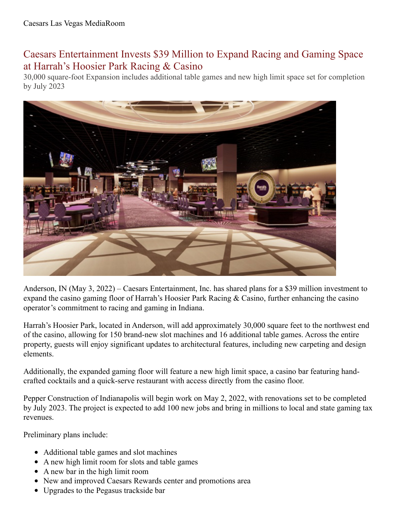## Caesars Entertainment Invests \$39 Million to Expand Racing and Gaming Space at Harrah's Hoosier Park Racing & Casino

30,000 square-foot Expansion includes additional table games and new high limit space set for completion by July 2023



Anderson, IN (May 3, 2022) – Caesars Entertainment, Inc. has shared plans for a \$39 million investment to expand the casino gaming floor of Harrah's Hoosier Park Racing & Casino, further enhancing the casino operator's commitment to racing and gaming in Indiana.

Harrah's Hoosier Park, located in Anderson, will add approximately 30,000 square feet to the northwest end of the casino, allowing for 150 brand-new slot machines and 16 additional table games. Across the entire property, guests will enjoy significant updates to architectural features, including new carpeting and design elements.

Additionally, the expanded gaming floor will feature a new high limit space, a casino bar featuring handcrafted cocktails and a quick-serve restaurant with access directly from the casino floor.

Pepper Construction of Indianapolis will begin work on May 2, 2022, with renovations set to be completed by July 2023. The project is expected to add 100 new jobs and bring in millions to local and state gaming tax revenues.

Preliminary plans include:

- Additional table games and slot machines
- A new high limit room for slots and table games
- A new bar in the high limit room
- New and improved Caesars Rewards center and promotions area
- Upgrades to the Pegasus trackside bar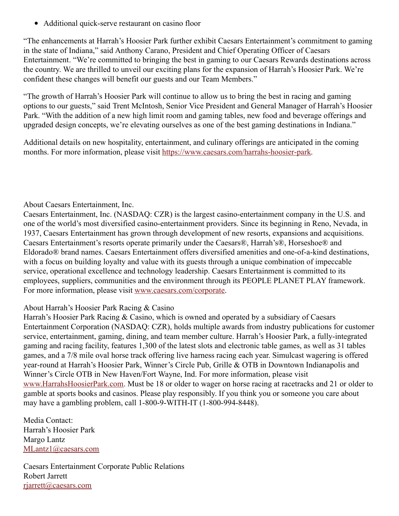Additional quick-serve restaurant on casino floor

"The enhancements at Harrah's Hoosier Park further exhibit Caesars Entertainment's commitment to gaming in the state of Indiana," said Anthony Carano, President and Chief Operating Officer of Caesars Entertainment. "We're committed to bringing the best in gaming to our Caesars Rewards destinations across the country. We are thrilled to unveil our exciting plans for the expansion of Harrah's Hoosier Park. We're confident these changes will benefit our guests and our Team Members."

"The growth of Harrah's Hoosier Park will continue to allow us to bring the best in racing and gaming options to our guests," said Trent McIntosh, Senior Vice President and General Manager of Harrah's Hoosier Park. "With the addition of a new high limit room and gaming tables, new food and beverage offerings and upgraded design concepts, we're elevating ourselves as one of the best gaming destinations in Indiana."

Additional details on new hospitality, entertainment, and culinary offerings are anticipated in the coming months. For more information, please visit <https://www.caesars.com/harrahs-hoosier-park>.

## About Caesars Entertainment, Inc.

Caesars Entertainment, Inc. (NASDAQ: CZR) is the largest casino-entertainment company in the U.S. and one of the world's most diversified casino-entertainment providers. Since its beginning in Reno, Nevada, in 1937, Caesars Entertainment has grown through development of new resorts, expansions and acquisitions. Caesars Entertainment's resorts operate primarily under the Caesars®, Harrah's®, Horseshoe® and Eldorado® brand names. Caesars Entertainment offers diversified amenities and one-of-a-kind destinations, with a focus on building loyalty and value with its guests through a unique combination of impeccable service, operational excellence and technology leadership. Caesars Entertainment is committed to its employees, suppliers, communities and the environment through its PEOPLE PLANET PLAY framework. For more information, please visit [www.caesars.com/corporate](https://urldefense.proofpoint.com/v2/url?u=http-3A__www.caesars.com_corporate&d=DwMFAg&c=vjMXFKVUKnGUWz-ELtMp2RA7G513eqYqgAK1QmF-zYk&r=b1JJfBRdGk1O28gVWGeXU93-R71p_f-R95dIHXfECeY&m=YoYWInOiOjRTmSgXdUR1oCHsW6mGq0emV8khSE7D4NQ&s=6kmk6-URgrN51rDlH_Yi3cyIfKKAcsJj4GvXDRjfYeU&e=).

## About Harrah's Hoosier Park Racing & Casino

Harrah's Hoosier Park Racing & Casino, which is owned and operated by a subsidiary of Caesars Entertainment Corporation (NASDAQ: CZR), holds multiple awards from industry publications for customer service, entertainment, gaming, dining, and team member culture. Harrah's Hoosier Park, a fully-integrated gaming and racing facility, features 1,300 of the latest slots and electronic table games, as well as 31 tables games, and a 7/8 mile oval horse track offering live harness racing each year. Simulcast wagering is offered year-round at Harrah's Hoosier Park, Winner's Circle Pub, Grille & OTB in Downtown Indianapolis and Winner's Circle OTB in New Haven/Fort Wayne, Ind. For more information, please visit [www.HarrahsHoosierPark.com.](http://www.harrahshoosierpark.com/) Must be 18 or older to wager on horse racing at racetracks and 21 or older to gamble at sports books and casinos. Please play responsibly. If you think you or someone you care about may have a gambling problem, call 1-800-9-WITH-IT (1-800-994-8448).

Media Contact: Harrah's Hoosier Park Margo Lantz [MLantz1@caesars.com](mailto:MLantz1@caesars.com)

Caesars Entertainment Corporate Public Relations Robert Jarrett [rjarrett@caesars.com](mailto:rjarrett@caesars.com)